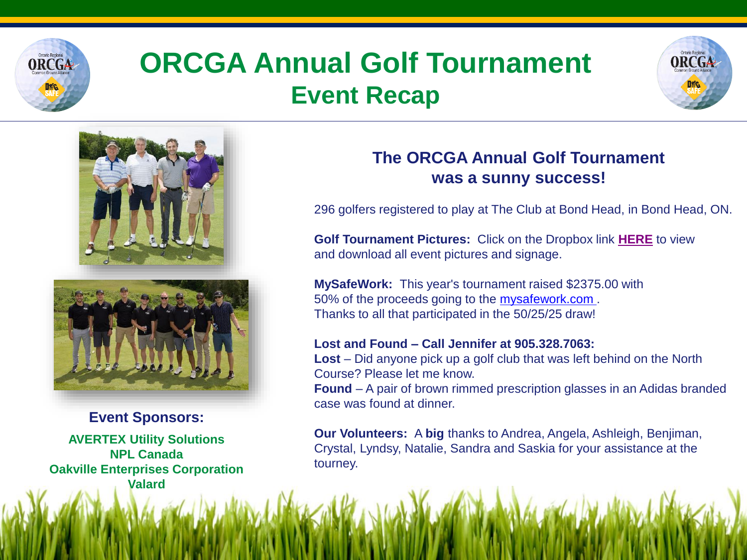

# **ORCGA Annual Golf Tournament Event Recap**







**Event Sponsors: AVERTEX Utility Solutions NPL Canada Oakville Enterprises Corporation Valard**

## **The ORCGA Annual Golf Tournament was a sunny success!**

296 golfers registered to play at The Club at Bond Head, in Bond Head, ON.

**Golf Tournament Pictures:** Click on the Dropbox link **[HERE](https://www.dropbox.com/sh/tyqpimsxwneyldf/AAB7Hry05t-FY-bStFymaCSza?dl=0)** to view and download all event pictures and signage.

**MySafeWork:** This year's tournament raised \$2375.00 with 50% of the proceeds going to the [mysafework.com](http://mysafework.com/) . Thanks to all that participated in the 50/25/25 draw!

#### **Lost and Found – Call Jennifer at 905.328.7063:**

Lost – Did anyone pick up a golf club that was left behind on the North Course? Please let me know.

**Found** – A pair of brown rimmed prescription glasses in an Adidas branded case was found at dinner.

**Our Volunteers:** A **big** thanks to Andrea, Angela, Ashleigh, Benjiman, Crystal, Lyndsy, Natalie, Sandra and Saskia for your assistance at the tourney.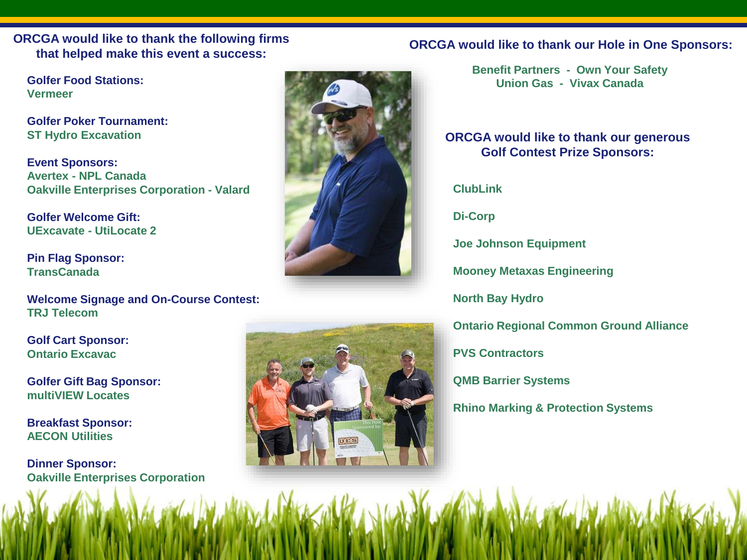**ORCGA would like to thank the following firms that helped make this event a success:**

**Golfer Food Stations: Vermeer**

**Golfer Poker Tournament: ST Hydro Excavation**

**Event Sponsors: Avertex - NPL Canada Oakville Enterprises Corporation - Valard**

**Golfer Welcome Gift: UExcavate - UtiLocate 2**

**Pin Flag Sponsor: TransCanada**

**Welcome Signage and On-Course Contest: TRJ Telecom**

**Golf Cart Sponsor: Ontario Excavac**

**Golfer Gift Bag Sponsor: multiVIEW Locates**

**Breakfast Sponsor: AECON Utilities**

**Dinner Sponsor: Oakville Enterprises Corporation**





### **ORCGA would like to thank our Hole in One Sponsors:**

**Benefit Partners - Own Your Safety Union Gas - Vivax Canada**

### **ORCGA would like to thank our generous Golf Contest Prize Sponsors:**

**ClubLink**

**Di-Corp**

**Joe Johnson Equipment**

**Mooney Metaxas Engineering**

**North Bay Hydro**

**Ontario Regional Common Ground Alliance**

**PVS Contractors**

**QMB Barrier Systems**

**Rhino Marking & Protection Systems**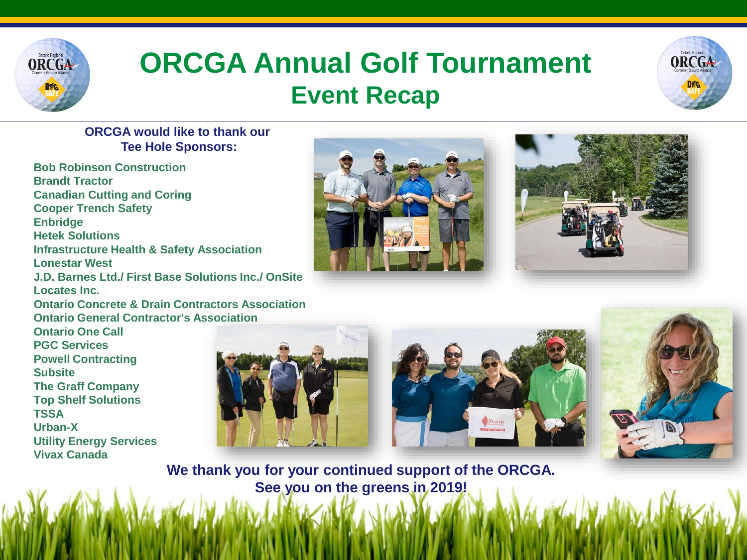

**Vivax Canada**

## **ORCGA Annual Golf Tournament Event Recap**



### **ORCGA would like to thank our Tee Hole Sponsors:**

**Bob Robinson Construction Brandt Tractor Canadian Cutting and Coring Cooper Trench Safety Enbridge Hetek Solutions Infrastructure Health & Safety Association Lonestar West J.D. Barnes Ltd./ First Base Solutions Inc./ OnSite Locates Inc. Ontario Concrete & Drain Contractors Association Ontario General Contractor's Association Ontario One Call PGC Services Powell Contracting Subsite The Graff Company Top Shelf Solutions TSSA Urban-X Utility Energy Services**











**We thank you for your continued support of the ORCGA. See you on the greens in 2019!**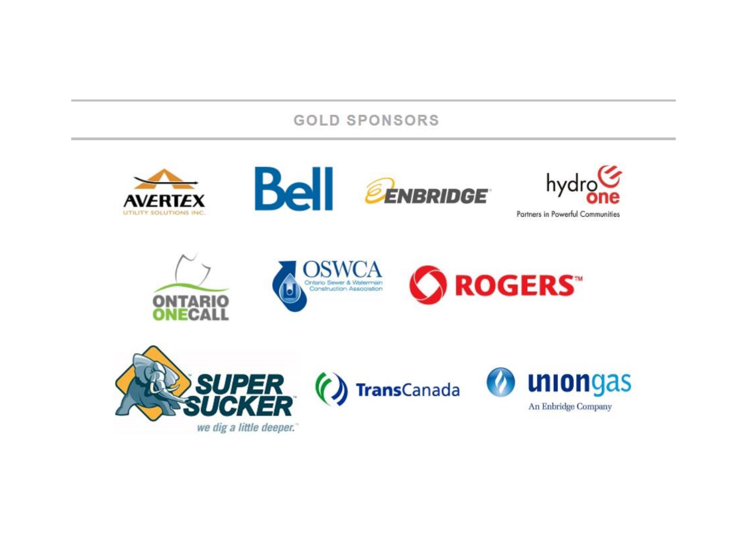## **GOLD SPONSORS**



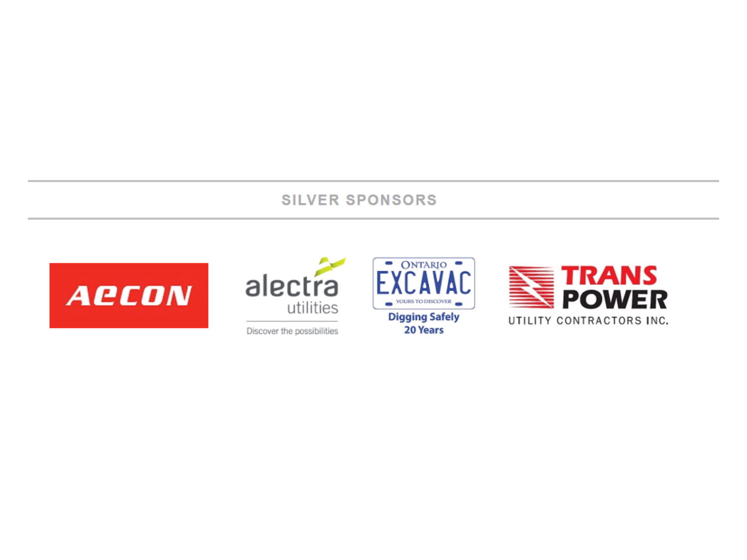### **SILVER SPONSORS**





Discover the possibilities